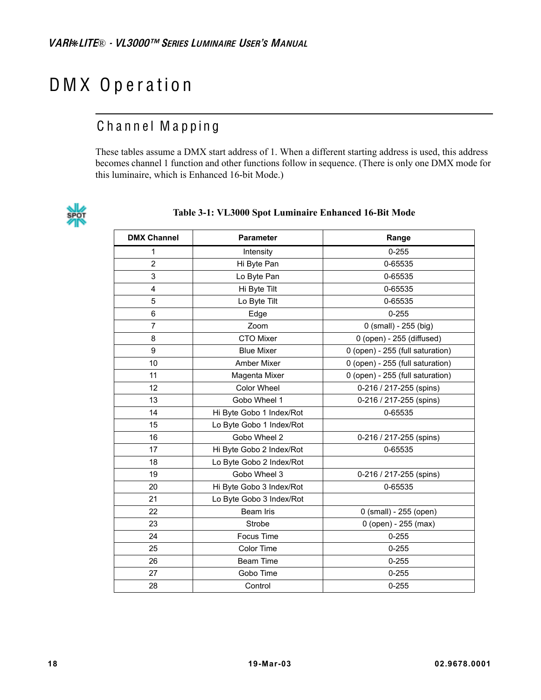# D M X O p e ration

# Channel Mapping

These tables assume a DMX start address of 1. When a different starting address is used, this address becomes channel 1 function and other functions follow in sequence. (There is only one DMX mode for this luminaire, which is Enhanced 16-bit Mode.)



#### **Table 3-1: VL3000 Spot Luminaire Enhanced 16-Bit Mode**

| <b>DMX Channel</b> | <b>Parameter</b>         | Range                            |  |  |
|--------------------|--------------------------|----------------------------------|--|--|
| 1                  | Intensity                | $0 - 255$                        |  |  |
| $\overline{2}$     | Hi Byte Pan              | 0-65535                          |  |  |
| 3                  | Lo Byte Pan              | 0-65535                          |  |  |
| 4                  | Hi Byte Tilt             | 0-65535                          |  |  |
| 5                  | Lo Byte Tilt             | 0-65535                          |  |  |
| 6                  | Edge                     | $0 - 255$                        |  |  |
| $\overline{7}$     | Zoom                     | 0 (small) - 255 (big)            |  |  |
| 8                  | <b>CTO Mixer</b>         | 0 (open) - 255 (diffused)        |  |  |
| 9                  | <b>Blue Mixer</b>        | 0 (open) - 255 (full saturation) |  |  |
| 10                 | <b>Amber Mixer</b>       | 0 (open) - 255 (full saturation) |  |  |
| 11                 | Magenta Mixer            | 0 (open) - 255 (full saturation) |  |  |
| 12                 | <b>Color Wheel</b>       | 0-216 / 217-255 (spins)          |  |  |
| 13                 | Gobo Wheel 1             | 0-216 / 217-255 (spins)          |  |  |
| 14                 | Hi Byte Gobo 1 Index/Rot | 0-65535                          |  |  |
| 15                 | Lo Byte Gobo 1 Index/Rot |                                  |  |  |
| 16                 | Gobo Wheel 2             | 0-216 / 217-255 (spins)          |  |  |
| 17                 | Hi Byte Gobo 2 Index/Rot | 0-65535                          |  |  |
| 18                 | Lo Byte Gobo 2 Index/Rot |                                  |  |  |
| 19                 | Gobo Wheel 3             | 0-216 / 217-255 (spins)          |  |  |
| 20                 | Hi Byte Gobo 3 Index/Rot | 0-65535                          |  |  |
| 21                 | Lo Byte Gobo 3 Index/Rot |                                  |  |  |
| 22                 | <b>Beam Iris</b>         | 0 (small) - 255 (open)           |  |  |
| 23                 | Strobe                   | 0 (open) - 255 (max)             |  |  |
| 24                 | Focus Time               | $0 - 255$                        |  |  |
| 25                 | Color Time               | $0 - 255$                        |  |  |
| 26                 | Beam Time                | $0 - 255$                        |  |  |
| 27                 | Gobo Time                | $0 - 255$                        |  |  |
| 28                 | Control                  | $0 - 255$                        |  |  |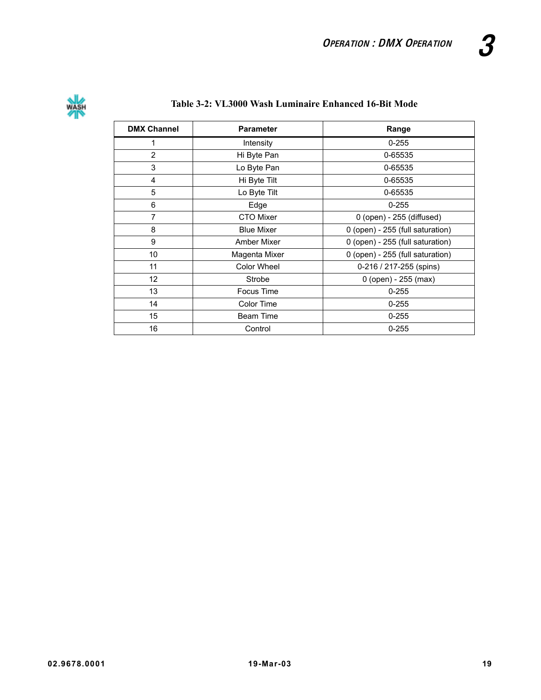

## **Table 3-2: VL3000 Wash Luminaire Enhanced 16-Bit Mode**

| <b>DMX Channel</b> | <b>Parameter</b>  | Range                            |  |  |
|--------------------|-------------------|----------------------------------|--|--|
| 1                  | Intensity         | $0 - 255$                        |  |  |
| 2                  | Hi Byte Pan       | 0-65535                          |  |  |
| 3                  | Lo Byte Pan       | 0-65535                          |  |  |
| 4                  | Hi Byte Tilt      | 0-65535                          |  |  |
| 5                  | Lo Byte Tilt      | 0-65535                          |  |  |
| 6                  | Edge              | $0 - 255$                        |  |  |
| $\overline{7}$     | <b>CTO Mixer</b>  | 0 (open) - 255 (diffused)        |  |  |
| 8                  | <b>Blue Mixer</b> | 0 (open) - 255 (full saturation) |  |  |
| 9                  | Amber Mixer       | 0 (open) - 255 (full saturation) |  |  |
| 10                 | Magenta Mixer     | 0 (open) - 255 (full saturation) |  |  |
| 11                 | Color Wheel       | 0-216 / 217-255 (spins)          |  |  |
| $12 \overline{ }$  | Strobe            | $0$ (open) - 255 (max)           |  |  |
| 13                 | Focus Time        | $0 - 255$                        |  |  |
| 14                 | Color Time        | $0 - 255$                        |  |  |
| 15                 | Beam Time         | $0 - 255$                        |  |  |
| 16                 | Control           | $0 - 255$                        |  |  |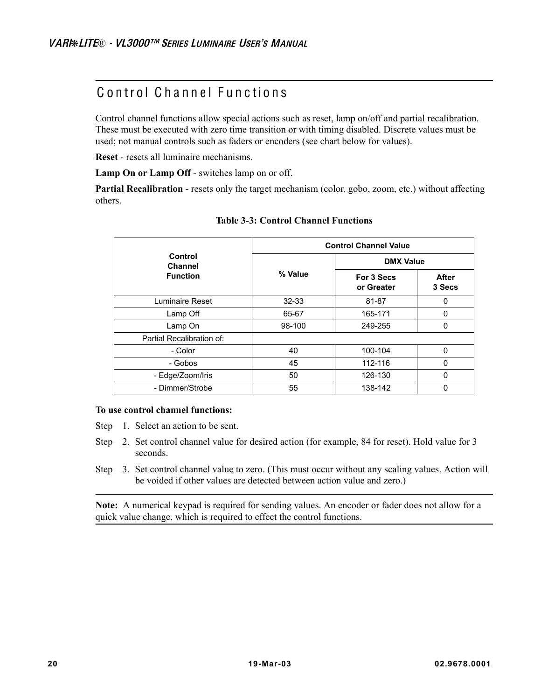# Control Channel Functions

Control channel functions allow special actions such as reset, lamp on/off and partial recalibration. These must be executed with zero time transition or with timing disabled. Discrete values must be used; not manual controls such as faders or encoders (see chart below for values).

**Reset** - resets all luminaire mechanisms.

**Lamp On or Lamp Off** - switches lamp on or off.

**Partial Recalibration** - resets only the target mechanism (color, gobo, zoom, etc.) without affecting others.

|                           | <b>Control Channel Value</b> |                          |                        |  |  |  |
|---------------------------|------------------------------|--------------------------|------------------------|--|--|--|
| Control<br>Channel        |                              | <b>DMX Value</b>         |                        |  |  |  |
| <b>Function</b>           | % Value                      | For 3 Secs<br>or Greater | <b>After</b><br>3 Secs |  |  |  |
| Luminaire Reset           | $32 - 33$                    | 81-87                    | $\Omega$               |  |  |  |
| Lamp Off                  | 65-67                        | 165-171                  | $\mathbf 0$            |  |  |  |
| Lamp On                   | 98-100                       | 249-255                  | 0                      |  |  |  |
| Partial Recalibration of: |                              |                          |                        |  |  |  |
| - Color                   | 40                           | 100-104                  | $\Omega$               |  |  |  |
| - Gobos                   | 45                           | 112-116                  | 0                      |  |  |  |
| - Edge/Zoom/Iris          | 50                           | 126-130                  | $\Omega$               |  |  |  |
| - Dimmer/Strobe           | 55                           | 138-142                  | 0                      |  |  |  |

**Table 3-3: Control Channel Functions**

#### **To use control channel functions:**

Step 1. Select an action to be sent.

- Step 2. Set control channel value for desired action (for example, 84 for reset). Hold value for 3 seconds.
- Step 3. Set control channel value to zero. (This must occur without any scaling values. Action will be voided if other values are detected between action value and zero.)

**Note:** A numerical keypad is required for sending values. An encoder or fader does not allow for a quick value change, which is required to effect the control functions.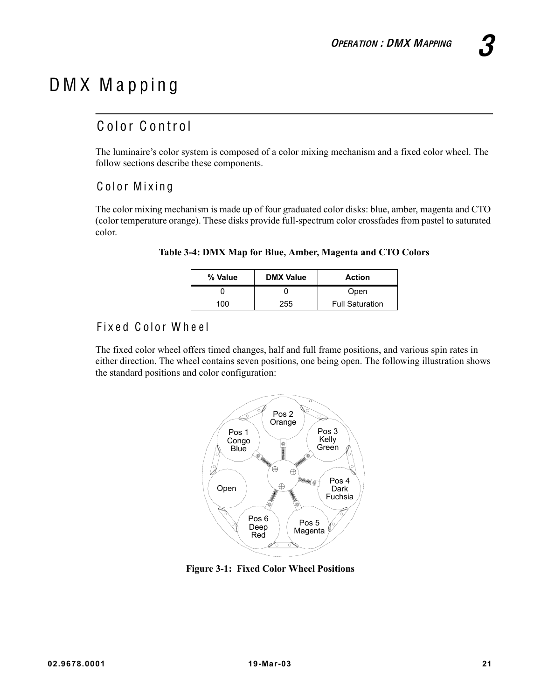# D M X M a p p in g

## Color Control

The luminaire's color system is composed of a color mixing mechanism and a fixed color wheel. The follow sections describe these components.

## Color Mixing

The color mixing mechanism is made up of four graduated color disks: blue, amber, magenta and CTO (color temperature orange). These disks provide full-spectrum color crossfades from pastel to saturated color.

| % Value | <b>DMX Value</b> | <b>Action</b>          |
|---------|------------------|------------------------|
|         |                  | Open                   |
| 100     | 255              | <b>Full Saturation</b> |

#### **Table 3-4: DMX Map for Blue, Amber, Magenta and CTO Colors**

## Fixed Color Wheel

The fixed color wheel offers timed changes, half and full frame positions, and various spin rates in either direction. The wheel contains seven positions, one being open. The following illustration shows the standard positions and color configuration:



**Figure 3-1: Fixed Color Wheel Positions**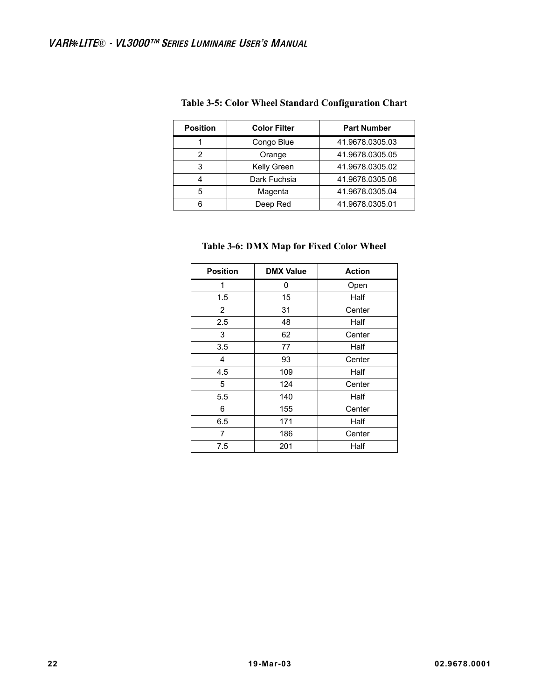| <b>Position</b> | <b>Color Filter</b> | <b>Part Number</b> |
|-----------------|---------------------|--------------------|
|                 | Congo Blue          | 41.9678.0305.03    |
| 2               | Orange              | 41.9678.0305.05    |
| 3               | Kelly Green         | 41.9678.0305.02    |
|                 | Dark Fuchsia        | 41.9678.0305.06    |
| 5               | Magenta             | 41.9678.0305.04    |
|                 | Deep Red            | 41.9678.0305.01    |

#### **Table 3-5: Color Wheel Standard Configuration Chart**

#### **Table 3-6: DMX Map for Fixed Color Wheel**

| <b>Position</b> | <b>DMX Value</b> | <b>Action</b> |
|-----------------|------------------|---------------|
| 1               | 0                | Open          |
| 1.5             | 15               | Half          |
| $\overline{2}$  | 31               | Center        |
| 2.5             | 48               | Half          |
| 3               | 62               | Center        |
| 3.5             | 77               | Half          |
| 4               | 93               | Center        |
| 4.5             | 109              | Half          |
| 5               | 124              | Center        |
| 5.5             | 140              | Half          |
| 6               | 155              | Center        |
| 6.5             | 171              | Half          |
| 7               | 186              | Center        |
| 7.5             | 201              | Half          |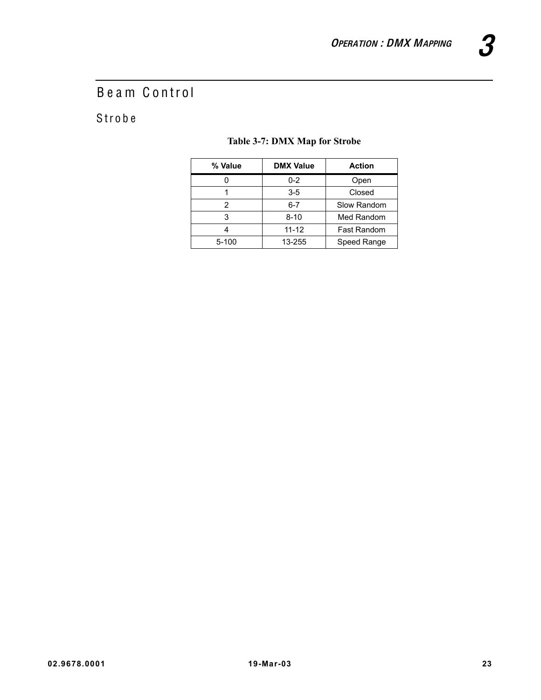# Beam Control

# S trobe

### **Table 3-7: DMX Map for Strobe**

| % Value   | <b>DMX Value</b> | <b>Action</b>      |
|-----------|------------------|--------------------|
|           | $0 - 2$          | Open               |
|           | $3-5$            | Closed             |
|           | $6 - 7$          | Slow Random        |
| 3         | $8 - 10$         | Med Random         |
|           | $11 - 12$        | <b>Fast Random</b> |
| $5 - 100$ | 13-255           | Speed Range        |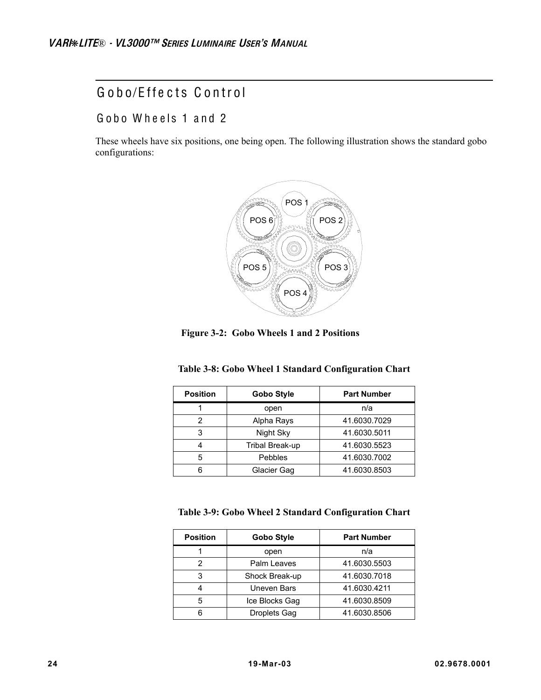## Gobo/Effects Control

Gobo Wheels 1 and 2

These wheels have six positions, one being open. The following illustration shows the standard gobo configurations:



**Figure 3-2: Gobo Wheels 1 and 2 Positions**

| Table 3-8: Gobo Wheel 1 Standard Configuration Chart |  |  |  |  |  |  |
|------------------------------------------------------|--|--|--|--|--|--|
|------------------------------------------------------|--|--|--|--|--|--|

| <b>Position</b> | Gobo Style      | <b>Part Number</b> |
|-----------------|-----------------|--------------------|
|                 | open            | n/a                |
|                 | Alpha Rays      | 41.6030.7029       |
| 3               | Night Sky       | 41.6030.5011       |
|                 | Tribal Break-up | 41.6030.5523       |
| 5               | Pebbles         | 41.6030.7002       |
| 6               | Glacier Gag     | 41.6030.8503       |

**Table 3-9: Gobo Wheel 2 Standard Configuration Chart**

| <b>Position</b> | <b>Gobo Style</b>   | <b>Part Number</b> |
|-----------------|---------------------|--------------------|
|                 | open                | n/a                |
|                 | Palm Leaves         | 41.6030.5503       |
| 3               | Shock Break-up      | 41.6030.7018       |
|                 | Uneven Bars         | 41.6030.4211       |
| 5               | Ice Blocks Gag      | 41.6030.8509       |
|                 | <b>Droplets Gag</b> | 41.6030.8506       |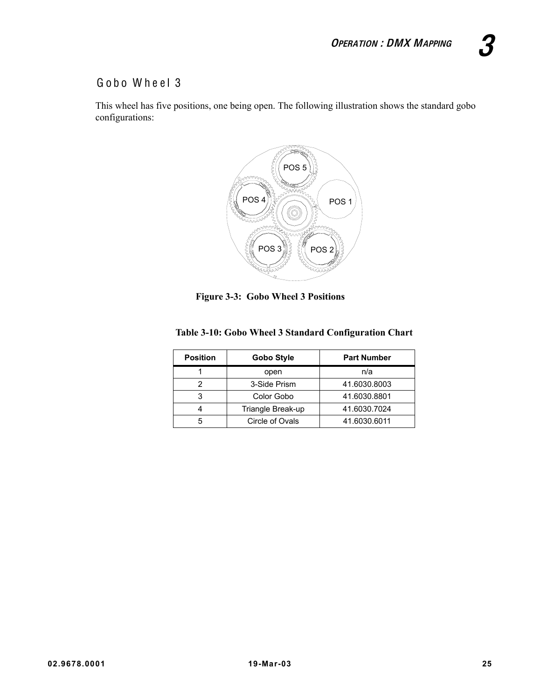## Gobo Wheel 3

This wheel has five positions, one being open. The following illustration shows the standard gobo configurations:



**Figure 3-3: Gobo Wheel 3 Positions**

|  |  | Table 3-10: Gobo Wheel 3 Standard Configuration Chart |  |  |
|--|--|-------------------------------------------------------|--|--|
|  |  |                                                       |  |  |

| <b>Position</b> | Gobo Style        | <b>Part Number</b> |
|-----------------|-------------------|--------------------|
|                 | open              | n/a                |
|                 | 3-Side Prism      | 41.6030.8003       |
|                 | Color Gobo        | 41.6030.8801       |
|                 | Triangle Break-up | 41.6030.7024       |
|                 | Circle of Ovals   | 41.6030.6011       |